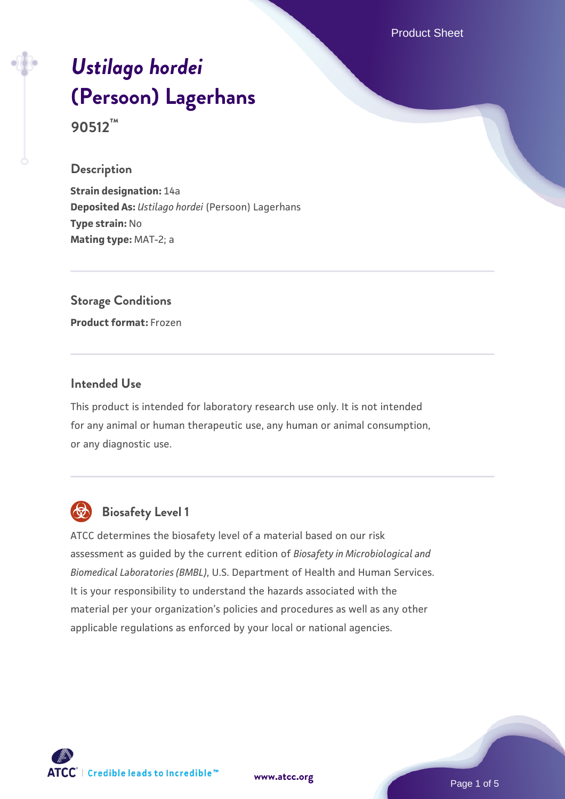Product Sheet

# *[Ustilago hordei](https://www.atcc.org/products/90512)* **[\(Persoon\) Lagerhans](https://www.atcc.org/products/90512) 90512™**

#### **Description**

**Strain designation:** 14a **Deposited As:** *Ustilago hordei* (Persoon) Lagerhans **Type strain:** No **Mating type:** MAT-2; a

## **Storage Conditions**

**Product format:** Frozen

#### **Intended Use**

This product is intended for laboratory research use only. It is not intended for any animal or human therapeutic use, any human or animal consumption, or any diagnostic use.



## **Biosafety Level 1**

ATCC determines the biosafety level of a material based on our risk assessment as guided by the current edition of *Biosafety in Microbiological and Biomedical Laboratories (BMBL)*, U.S. Department of Health and Human Services. It is your responsibility to understand the hazards associated with the material per your organization's policies and procedures as well as any other applicable regulations as enforced by your local or national agencies.

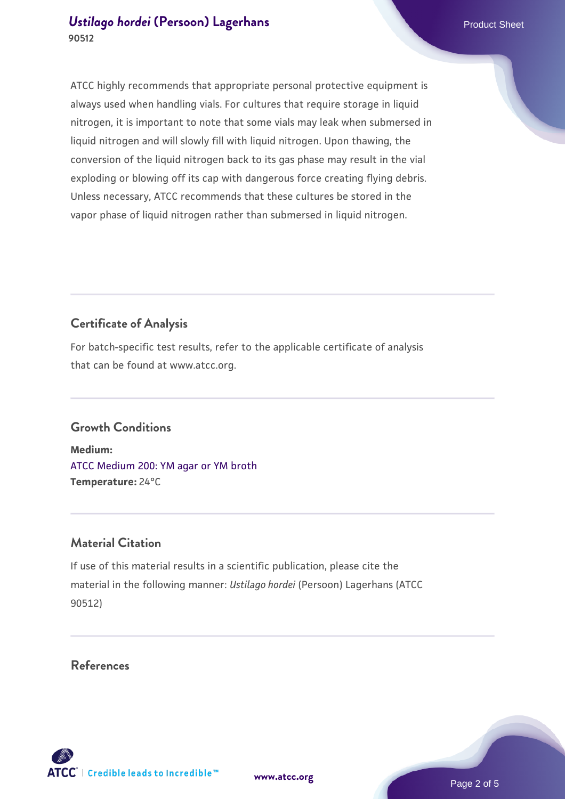ATCC highly recommends that appropriate personal protective equipment is always used when handling vials. For cultures that require storage in liquid nitrogen, it is important to note that some vials may leak when submersed in liquid nitrogen and will slowly fill with liquid nitrogen. Upon thawing, the conversion of the liquid nitrogen back to its gas phase may result in the vial exploding or blowing off its cap with dangerous force creating flying debris. Unless necessary, ATCC recommends that these cultures be stored in the vapor phase of liquid nitrogen rather than submersed in liquid nitrogen.

#### **Certificate of Analysis**

For batch-specific test results, refer to the applicable certificate of analysis that can be found at www.atcc.org.

#### **Growth Conditions**

**Medium:**  [ATCC Medium 200: YM agar or YM broth](https://www.atcc.org/-/media/product-assets/documents/microbial-media-formulations/2/0/0/atcc-medium-200.pdf?rev=ac40fd74dc13433a809367b0b9da30fc) **Temperature:** 24°C

#### **Material Citation**

If use of this material results in a scientific publication, please cite the material in the following manner: *Ustilago hordei* (Persoon) Lagerhans (ATCC 90512)

**References**



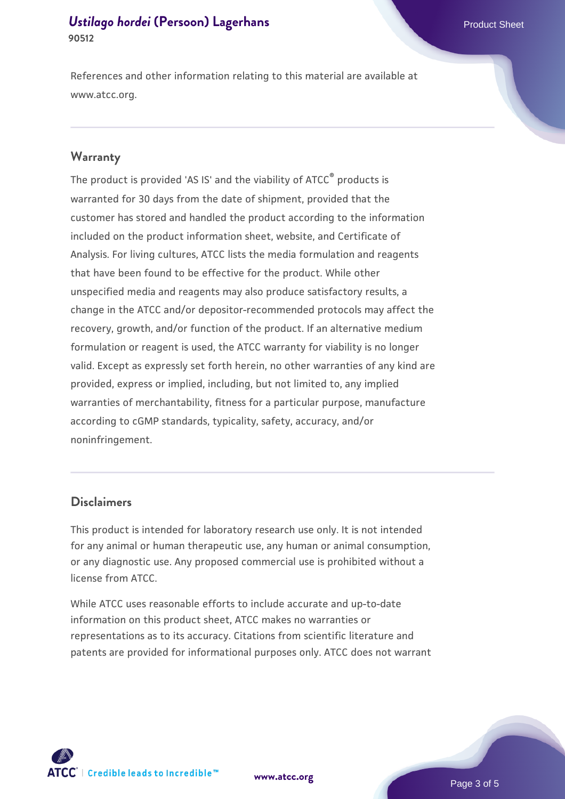References and other information relating to this material are available at www.atcc.org.

#### **Warranty**

The product is provided 'AS IS' and the viability of ATCC® products is warranted for 30 days from the date of shipment, provided that the customer has stored and handled the product according to the information included on the product information sheet, website, and Certificate of Analysis. For living cultures, ATCC lists the media formulation and reagents that have been found to be effective for the product. While other unspecified media and reagents may also produce satisfactory results, a change in the ATCC and/or depositor-recommended protocols may affect the recovery, growth, and/or function of the product. If an alternative medium formulation or reagent is used, the ATCC warranty for viability is no longer valid. Except as expressly set forth herein, no other warranties of any kind are provided, express or implied, including, but not limited to, any implied warranties of merchantability, fitness for a particular purpose, manufacture according to cGMP standards, typicality, safety, accuracy, and/or noninfringement.

#### **Disclaimers**

This product is intended for laboratory research use only. It is not intended for any animal or human therapeutic use, any human or animal consumption, or any diagnostic use. Any proposed commercial use is prohibited without a license from ATCC.

While ATCC uses reasonable efforts to include accurate and up-to-date information on this product sheet, ATCC makes no warranties or representations as to its accuracy. Citations from scientific literature and patents are provided for informational purposes only. ATCC does not warrant





Page 3 of 5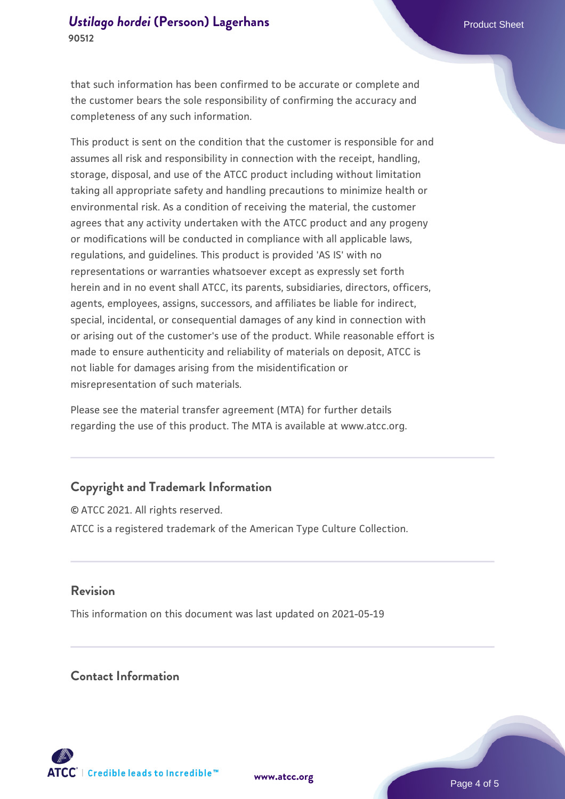that such information has been confirmed to be accurate or complete and the customer bears the sole responsibility of confirming the accuracy and completeness of any such information.

This product is sent on the condition that the customer is responsible for and assumes all risk and responsibility in connection with the receipt, handling, storage, disposal, and use of the ATCC product including without limitation taking all appropriate safety and handling precautions to minimize health or environmental risk. As a condition of receiving the material, the customer agrees that any activity undertaken with the ATCC product and any progeny or modifications will be conducted in compliance with all applicable laws, regulations, and guidelines. This product is provided 'AS IS' with no representations or warranties whatsoever except as expressly set forth herein and in no event shall ATCC, its parents, subsidiaries, directors, officers, agents, employees, assigns, successors, and affiliates be liable for indirect, special, incidental, or consequential damages of any kind in connection with or arising out of the customer's use of the product. While reasonable effort is made to ensure authenticity and reliability of materials on deposit, ATCC is not liable for damages arising from the misidentification or misrepresentation of such materials.

Please see the material transfer agreement (MTA) for further details regarding the use of this product. The MTA is available at www.atcc.org.

#### **Copyright and Trademark Information**

© ATCC 2021. All rights reserved. ATCC is a registered trademark of the American Type Culture Collection.

#### **Revision**

This information on this document was last updated on 2021-05-19

#### **Contact Information**